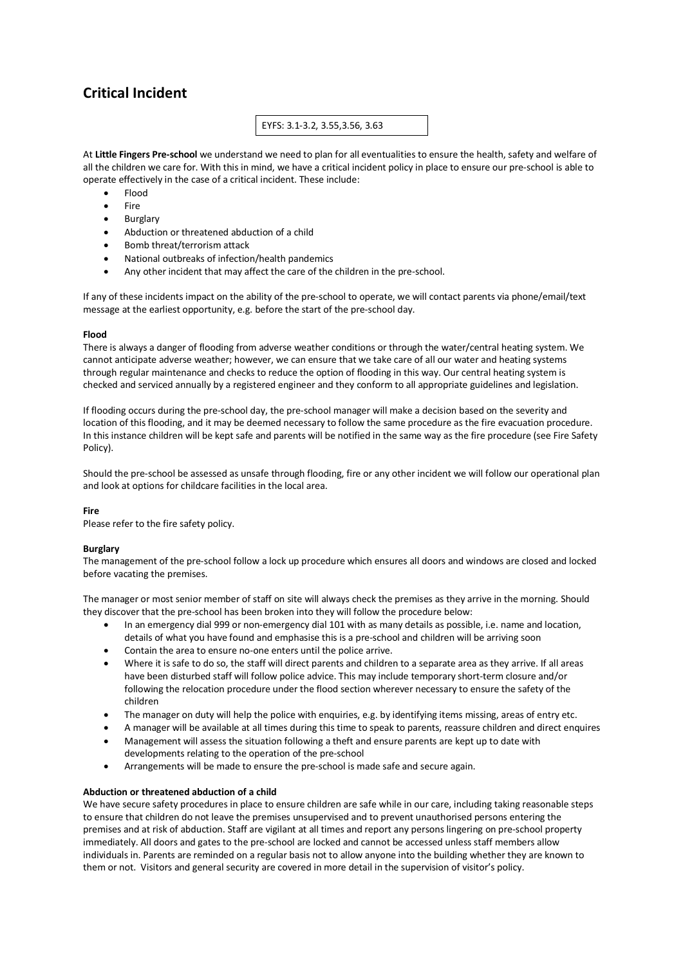# **Critical Incident**

## EYFS: 3.1-3.2, 3.55,3.56, 3.63

At **Little Fingers Pre-school** we understand we need to plan for all eventualities to ensure the health, safety and welfare of all the children we care for. With this in mind, we have a critical incident policy in place to ensure our pre-school is able to operate effectively in the case of a critical incident. These include:

- Flood
- **Fire**
- Burglary
- Abduction or threatened abduction of a child
- Bomb threat/terrorism attack
- National outbreaks of infection/health pandemics
- Any other incident that may affect the care of the children in the pre-school.

If any of these incidents impact on the ability of the pre-school to operate, we will contact parents via phone/email/text message at the earliest opportunity, e.g. before the start of the pre-school day.

### **Flood**

There is always a danger of flooding from adverse weather conditions or through the water/central heating system. We cannot anticipate adverse weather; however, we can ensure that we take care of all our water and heating systems through regular maintenance and checks to reduce the option of flooding in this way. Our central heating system is checked and serviced annually by a registered engineer and they conform to all appropriate guidelines and legislation.

If flooding occurs during the pre-school day, the pre-school manager will make a decision based on the severity and location of this flooding, and it may be deemed necessary to follow the same procedure as the fire evacuation procedure. In this instance children will be kept safe and parents will be notified in the same way as the fire procedure (see Fire Safety Policy).

Should the pre-school be assessed as unsafe through flooding, fire or any other incident we will follow our operational plan and look at options for childcare facilities in the local area.

### **Fire**

Please refer to the fire safety policy.

### **Burglary**

The management of the pre-school follow a lock up procedure which ensures all doors and windows are closed and locked before vacating the premises.

The manager or most senior member of staff on site will always check the premises as they arrive in the morning. Should they discover that the pre-school has been broken into they will follow the procedure below:

- In an emergency dial 999 or non-emergency dial 101 with as many details as possible, i.e. name and location, details of what you have found and emphasise this is a pre-school and children will be arriving soon
- Contain the area to ensure no-one enters until the police arrive.
- Where it is safe to do so, the staff will direct parents and children to a separate area as they arrive. If all areas have been disturbed staff will follow police advice. This may include temporary short-term closure and/or following the relocation procedure under the flood section wherever necessary to ensure the safety of the children
- The manager on duty will help the police with enquiries, e.g. by identifying items missing, areas of entry etc.
- A manager will be available at all times during this time to speak to parents, reassure children and direct enquires • Management will assess the situation following a theft and ensure parents are kept up to date with
- developments relating to the operation of the pre-school
- Arrangements will be made to ensure the pre-school is made safe and secure again.

### **Abduction or threatened abduction of a child**

We have secure safety procedures in place to ensure children are safe while in our care, including taking reasonable steps to ensure that children do not leave the premises unsupervised and to prevent unauthorised persons entering the premises and at risk of abduction. Staff are vigilant at all times and report any persons lingering on pre-school property immediately. All doors and gates to the pre-school are locked and cannot be accessed unless staff members allow individuals in. Parents are reminded on a regular basis not to allow anyone into the building whether they are known to them or not. Visitors and general security are covered in more detail in the supervision of visitor's policy.